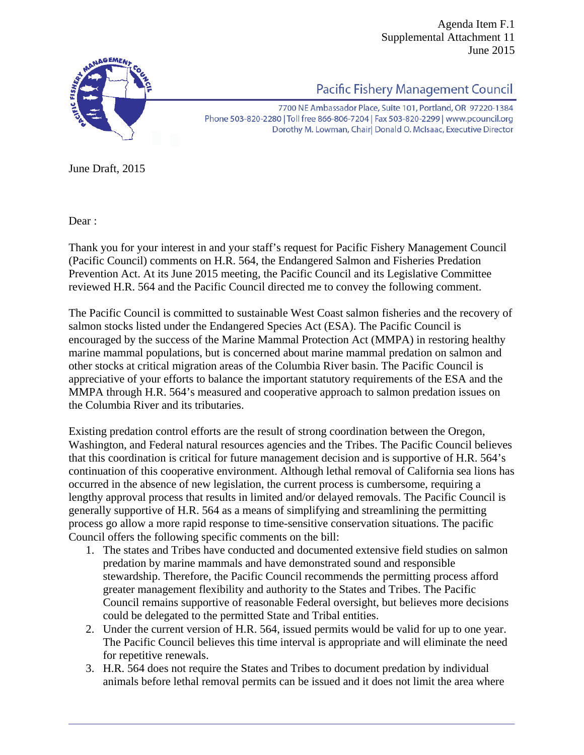Agenda Item F.1 Supplemental Attachment 11 June 2015



Pacific Fishery Management Council

7700 NE Ambassador Place, Suite 101, Portland, OR 97220-1384 Phone 503-820-2280 | Toll free 866-806-7204 | Fax 503-820-2299 | www.pcouncil.org Dorothy M. Lowman, Chair Donald O. McIsaac, Executive Director

June Draft, 2015

Dear :

Thank you for your interest in and your staff's request for Pacific Fishery Management Council (Pacific Council) comments on H.R. 564, the Endangered Salmon and Fisheries Predation Prevention Act. At its June 2015 meeting, the Pacific Council and its Legislative Committee reviewed H.R. 564 and the Pacific Council directed me to convey the following comment.

The Pacific Council is committed to sustainable West Coast salmon fisheries and the recovery of salmon stocks listed under the Endangered Species Act (ESA). The Pacific Council is encouraged by the success of the Marine Mammal Protection Act (MMPA) in restoring healthy marine mammal populations, but is concerned about marine mammal predation on salmon and other stocks at critical migration areas of the Columbia River basin. The Pacific Council is appreciative of your efforts to balance the important statutory requirements of the ESA and the MMPA through H.R. 564's measured and cooperative approach to salmon predation issues on the Columbia River and its tributaries.

Existing predation control efforts are the result of strong coordination between the Oregon, Washington, and Federal natural resources agencies and the Tribes. The Pacific Council believes that this coordination is critical for future management decision and is supportive of H.R. 564's continuation of this cooperative environment. Although lethal removal of California sea lions has occurred in the absence of new legislation, the current process is cumbersome, requiring a lengthy approval process that results in limited and/or delayed removals. The Pacific Council is generally supportive of H.R. 564 as a means of simplifying and streamlining the permitting process go allow a more rapid response to time-sensitive conservation situations. The pacific Council offers the following specific comments on the bill:

- 1. The states and Tribes have conducted and documented extensive field studies on salmon predation by marine mammals and have demonstrated sound and responsible stewardship. Therefore, the Pacific Council recommends the permitting process afford greater management flexibility and authority to the States and Tribes. The Pacific Council remains supportive of reasonable Federal oversight, but believes more decisions could be delegated to the permitted State and Tribal entities.
- 2. Under the current version of H.R. 564, issued permits would be valid for up to one year. The Pacific Council believes this time interval is appropriate and will eliminate the need for repetitive renewals.
- 3. H.R. 564 does not require the States and Tribes to document predation by individual animals before lethal removal permits can be issued and it does not limit the area where